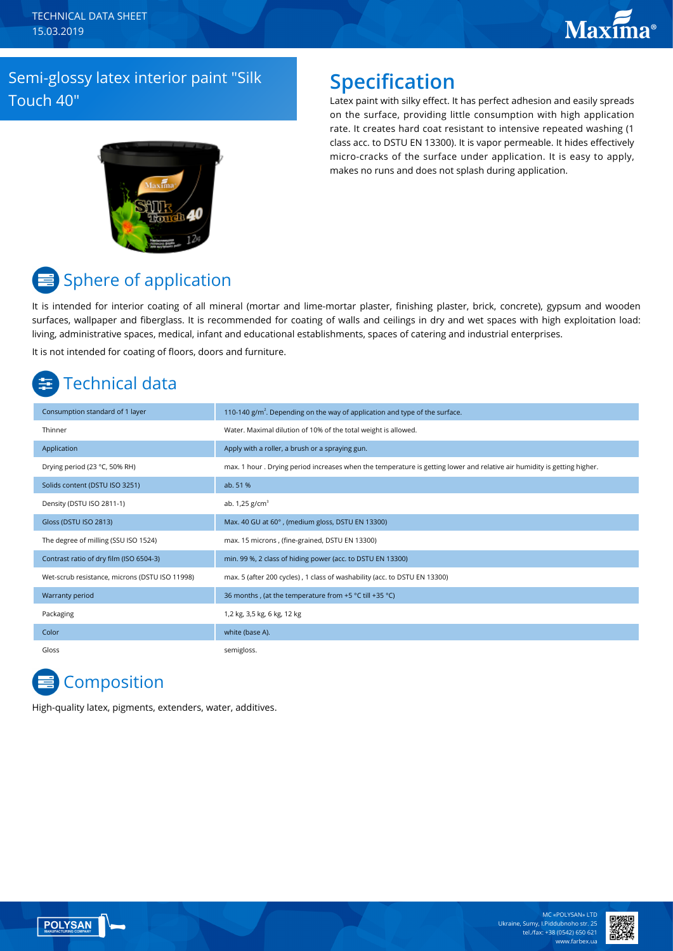# **Maxima**®

### Semi-glossy latex interior paint "Silk Touch 40"

### **Specification**

Latex paint with silky effect. It has perfect adhesion and easily spreads on the surface, providing little consumption with high application rate. It creates hard coat resistant to intensive repeated washing (1 class acc. to DSTU EN 13300). It is vapor permeable. It hides effectively micro-cracks of the surface under application. It is easy to apply, makes no runs and does not splash during application.



# Sphere of application

It is intended for interior coating of all mineral (mortar and lime-mortar plaster, finishing plaster, brick, concrete), gypsum and wooden surfaces, wallpaper and fiberglass. It is recommended for coating of walls and ceilings in dry and wet spaces with high exploitation load: living, administrative spaces, medical, infant and educational establishments, spaces of catering and industrial enterprises. It is not intended for coating of floors, doors and furniture.

# Technical data

| Consumption standard of 1 layer                | 110-140 $g/m2$ . Depending on the way of application and type of the surface.                                           |
|------------------------------------------------|-------------------------------------------------------------------------------------------------------------------------|
| Thinner                                        | Water. Maximal dilution of 10% of the total weight is allowed.                                                          |
| Application                                    | Apply with a roller, a brush or a spraying gun.                                                                         |
| Drying period (23 °C, 50% RH)                  | max. 1 hour. Drying period increases when the temperature is getting lower and relative air humidity is getting higher. |
| Solids content (DSTU ISO 3251)                 | ab. 51 %                                                                                                                |
| Density (DSTU ISO 2811-1)                      | ab. $1,25$ g/cm <sup>3</sup>                                                                                            |
| Gloss (DSTU ISO 2813)                          | Max. 40 GU at 60°, (medium gloss, DSTU EN 13300)                                                                        |
| The degree of milling (SSU ISO 1524)           | max. 15 microns, (fine-grained, DSTU EN 13300)                                                                          |
| Contrast ratio of dry film (ISO 6504-3)        | min. 99 %, 2 class of hiding power (acc. to DSTU EN 13300)                                                              |
| Wet-scrub resistance, microns (DSTU ISO 11998) | max. 5 (after 200 cycles), 1 class of washability (acc. to DSTU EN 13300)                                               |
| Warranty period                                | 36 months, (at the temperature from +5 °C till +35 °C)                                                                  |
| Packaging                                      | 1,2 kg, 3,5 kg, 6 kg, 12 kg                                                                                             |
| Color                                          | white (base A).                                                                                                         |
| Gloss                                          | semigloss.                                                                                                              |

## **Composition**

High-quality latex, pigments, extenders, water, additives.